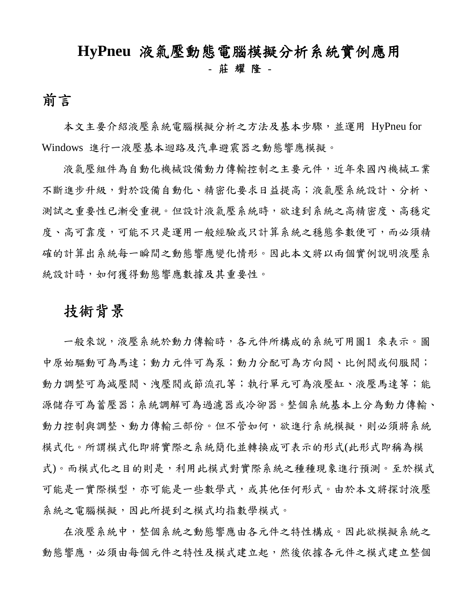## **HyPneu** 液氣壓動態電腦模擬分析系統實例應用 - 莊 耀 隆 -

前言<br>本文主要介紹液壓系統電腦模擬分析之方法及基本步驟,並運用 HyPneu for Windows 進行一液壓基本迴路及汽車避震器之動態響應模擬。

液氣壓組件為自動化機械設備動力傳輸控制之主要元件,近年來國內機械工業 不斷進步升級,對於設備自動化、精密化要求日益提高;液氣壓系統設計、分析、 測試之重要性已漸受重視。但設計液氣壓系統時,欲達到系統之高精密度、高穩定 度、高可靠度,可能不只是運用一般經驗或只計算系統之穩態參數便可,而必須精 確的計算出系統每一瞬間之動態響應變化情形。因此本文將以兩個實例說明液壓系 統設計時,如何獲得動態響應數據及其重要性。

### 技術背景

一般來說,液壓系統於動力傳輸時,各元件所構成的系統可用圖1 來表示。圖 中原始驅動可為馬達;動力在可為分配可為方向閥、比例閥或伺服閥; 動力調整可為減壓閥、洩壓閥或節流孔等;執行單元可為液壓缸、液壓馬達等;能 源儲存可為蓄壓器;系統調解可為過濾器或冷卻器。整個系統基本上分為動力傳輸、 動力控制與調整、動力傳輸三部份。但不管如何,欲進行系統模擬,則必須將系統 模式化。所謂模式化即將實際之系統簡化並轉換成可表示的形式(此形式即稱為模 式)。而模式化之目的則是,利用此模式對實際系統之種種現象進行預測。至於模式 可能是一實際模型,亦可能是一些數學式,或其他任何形式。由於本文將探討液壓 系統之電腦模擬,因此所提到之模式均指數學模式。

在液壓系統中,整個系統之動態響應由各元件之特性構成。因此欲模擬系統之 動態響應,必須由每個元件之特性及模式建立起,然後依據各元件之模式建立整個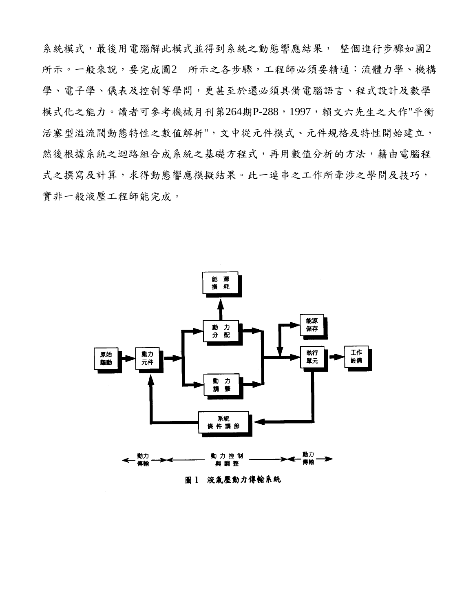系統模式,最後用電腦解此模式並得到系統之動態響應結果, 整個進行步驟如圖2 所示。一般來說,要完成圖2 所示之各步驟,工程師必須要精通:流體力學、機構 學、電子學、儀表及控制等學問,更甚至於還必須具備電腦語言、程式設計及數學 模式化之能力。讀者可參考機械月刊第264期P-288,1997,賴文六先生之大作"平衡 活塞型溢流閥動態特性之數值解析",文中從元件模式、元件規格及特性開始建立, 然後根據系統之極統之基礎方程式,再用數值分析的方法,藉由電腦程 式之撰寫及計算,求得動態響應模擬結果。此一連串之工作所牽涉之學問及技巧, 實非一般液壓工程師能完成。

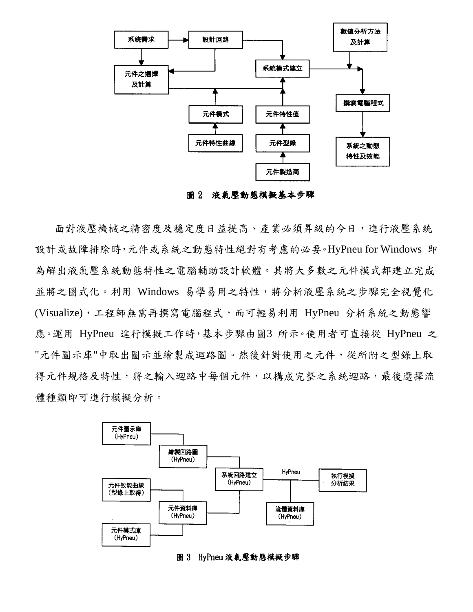

圖 2 液氣壓動態模擬基本步驟

面對液壓機械之精密度及穩定度日益提高、產業必須昇級的今日,進行液壓系統 設計或故障排除時,元件或系統之動態特性絕對有考慮的必要。HyPneu for Windows 即 為解出液氣壓系統動態特性之電腦輔助設計軟體。其將大多數之元件模式都建立完成 並將之圖式化。利用 Windows 易學易用之特性,將分析液壓系統之步驟完全視覺化 (Visualize),工程師無需再撰寫電腦程式,而可輕易利用 HyPneu 分析系統之動態響 應。運用 HyPneu 進行模擬工作時,基本步驟由圖3 所示。使用者可直接從 HyPneu 之 "元件圖示庫"中取出圖示並繪製成迴路圖。然後針對使用之元件,從所附之型錄上取 得元件規格及特性,將之輸入迴路中每個元件,以構成完整之系統迴路,最後選擇流 體種類即可進行模擬分析。



#### 圖 3 HyPneu 液氣壓動態模擬步驟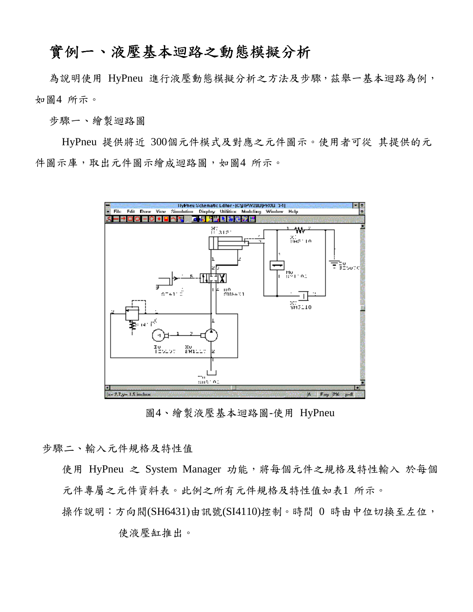#### 實例一、液壓基本迴路之動態模擬分析

為說明使用 HyPneu 進行液壓動態模擬分析之方法及步驟,茲舉一基本迴路為例, 如圖4 所示。

步驟一、繪製迴路圖

HyPneu 提供將近 300個元件模式及對應之元件圖示。使用者可從 其提供的元 件圖示庫,取出元件圖示繪成迴路圖,如圖4 所示。



圖4、繪製液壓基本迴路圖-使用 HyPneu

步驟二、輸入元件規格及特性值

使用 HyPneu 之 System Manager 功能,將每個元件之規格及特性輸入 於每個 元件專屬之元件資料表。此例之所有元件規格及特性值如表1 所示。

操作說明:方向閥(SH6431)由訊號(SI4110)控制。時間 0 時由中位切換至左位,

使液壓缸推出。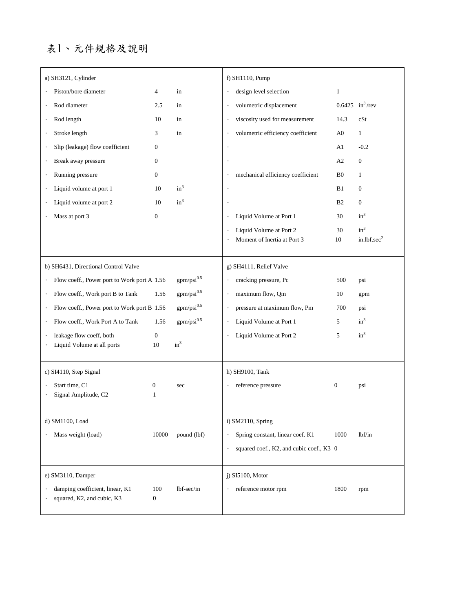#### 表1、元件規格及說明

| a) SH3121, Cylinder                                                                                                                                                                                                                                            |                         |                                                                          | f) SH1110, Pump                                                                                                                                                             |                       |                             |
|----------------------------------------------------------------------------------------------------------------------------------------------------------------------------------------------------------------------------------------------------------------|-------------------------|--------------------------------------------------------------------------|-----------------------------------------------------------------------------------------------------------------------------------------------------------------------------|-----------------------|-----------------------------|
| Piston/bore diameter                                                                                                                                                                                                                                           | 4                       | in                                                                       | design level selection<br>$\bullet$                                                                                                                                         | $\mathbf{1}$          |                             |
| Rod diameter                                                                                                                                                                                                                                                   | 2.5                     | in                                                                       | volumetric displacement                                                                                                                                                     |                       | 0.6425 $in^3$ /rev          |
| Rod length<br>$\bullet$                                                                                                                                                                                                                                        | 10                      | in                                                                       | viscosity used for measurement<br>$\bullet$                                                                                                                                 | 14.3                  | cSt                         |
| Stroke length<br>$\bullet$                                                                                                                                                                                                                                     | 3                       | in                                                                       | volumetric efficiency coefficient                                                                                                                                           | A <sub>0</sub>        | $\mathbf{1}$                |
| Slip (leakage) flow coefficient                                                                                                                                                                                                                                | $\overline{0}$          |                                                                          |                                                                                                                                                                             | A1                    | $-0.2$                      |
| Break away pressure<br>$\bullet$                                                                                                                                                                                                                               | $\overline{0}$          |                                                                          |                                                                                                                                                                             | A2                    | $\mathbf{0}$                |
| Running pressure                                                                                                                                                                                                                                               | $\overline{0}$          |                                                                          | mechanical efficiency coefficient                                                                                                                                           | B <sub>0</sub>        | 1                           |
| Liquid volume at port 1<br>$\bullet$                                                                                                                                                                                                                           | 10                      | $in^3$                                                                   |                                                                                                                                                                             | B1                    | $\mathbf{0}$                |
| Liquid volume at port 2                                                                                                                                                                                                                                        | 10                      | $in^3$                                                                   |                                                                                                                                                                             | B <sub>2</sub>        | $\mathbf{0}$                |
| Mass at port 3                                                                                                                                                                                                                                                 | $\mathbf{0}$            |                                                                          | Liquid Volume at Port 1                                                                                                                                                     | 30                    | $in^3$                      |
|                                                                                                                                                                                                                                                                |                         |                                                                          | Liquid Volume at Port 2                                                                                                                                                     | 30                    | $in^3$                      |
|                                                                                                                                                                                                                                                                |                         |                                                                          | Moment of Inertia at Port 3                                                                                                                                                 | 10                    | in.lbf.sec <sup>2</sup>     |
| b) SH6431, Directional Control Valve<br>Flow coeff., Power port to Work port A 1.56<br>$\bullet$<br>Flow coeff., Work port B to Tank<br>$\bullet$<br>Flow coeff., Power port to Work port B 1.56<br>$\bullet$<br>Flow coeff., Work Port A to Tank<br>$\bullet$ | 1.56<br>1.56            | $gpm/psi^{0.5}$<br>$gpm/psi^{0.5}$<br>$gpm/psi^{0.5}$<br>$gpm/psi^{0.5}$ | g) SH4111, Relief Valve<br>cracking pressure, Pc<br>$\cdot$<br>maximum flow, Qm<br>$\cdot$<br>pressure at maximum flow, Pm<br>$\cdot$<br>Liquid Volume at Port 1<br>$\cdot$ | 500<br>10<br>700<br>5 | psi<br>gpm<br>psi<br>$in^3$ |
| leakage flow coeff, both                                                                                                                                                                                                                                       | $\boldsymbol{0}$        |                                                                          | Liquid Volume at Port 2                                                                                                                                                     | 5                     | $in^3$                      |
| Liquid Volume at all ports                                                                                                                                                                                                                                     | 10                      | $in^3$                                                                   |                                                                                                                                                                             |                       |                             |
| c) SI4110, Step Signal<br>Start time, C1<br>Signal Amplitude, C2                                                                                                                                                                                               | 0<br>1                  | sec                                                                      | h) SH9100, Tank<br>reference pressure<br>$\bullet$                                                                                                                          | $\boldsymbol{0}$      | psi                         |
| d) SM1100, Load                                                                                                                                                                                                                                                |                         |                                                                          | i) SM2110, Spring                                                                                                                                                           |                       |                             |
| Mass weight (load)                                                                                                                                                                                                                                             | 10000                   | pound (lbf)                                                              | Spring constant, linear coef. K1<br>$\bullet$                                                                                                                               | 1000                  | 1bf/in                      |
|                                                                                                                                                                                                                                                                |                         |                                                                          | squared coef., K2, and cubic coef., K3 0<br>$\bullet$                                                                                                                       |                       |                             |
|                                                                                                                                                                                                                                                                |                         |                                                                          |                                                                                                                                                                             |                       |                             |
| e) SM3110, Damper                                                                                                                                                                                                                                              |                         |                                                                          | $j)$ SI5100, Motor                                                                                                                                                          |                       |                             |
| damping coefficient, linear, K1<br>squared, K2, and cubic, K3                                                                                                                                                                                                  | 100<br>$\boldsymbol{0}$ | lbf-sec/in                                                               | reference motor rpm                                                                                                                                                         | 1800                  | rpm                         |
|                                                                                                                                                                                                                                                                |                         |                                                                          |                                                                                                                                                                             |                       |                             |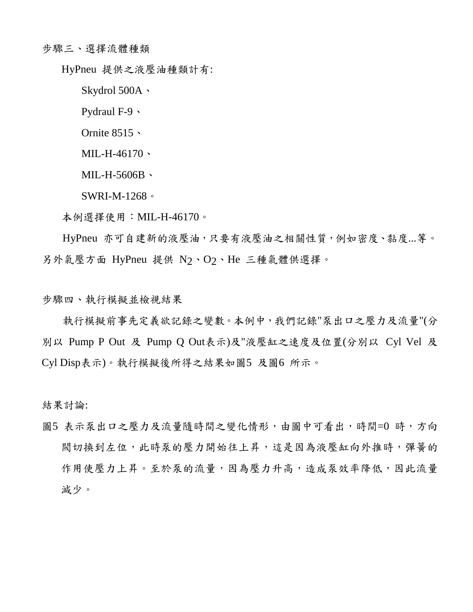步驟三、選擇流體種類

HyPneu 提供之液壓油種類計有:

Skydrol 500A、

Pydraul F-9、

Ornite 8515、

MIL-H-46170、

MIL-H-5606B、

SWRI-M-1268。

本例選擇使用:MIL-H-46170。

HyPneu 亦可自建新的液壓油,只要有液壓油之相關性質,例如密度、黏度...等。 另外氣壓方面 HyPneu 提供 N2、O2、He 三種氣體供選擇。

步驟四、執行模擬並檢視結果

執行模擬前事先定義欲記錄之變數。本例中,我們記錄"泵出口之壓力及流量"(分 別以 Pump P Out 及 Pump Q Out表示)及"液壓缸之速度及位置(分別以 Cyl Vel 及 Cyl Disp表示)。執行模擬後所得之結果如圖5 及圖6 所示。

結果討論:

圖5 表示泵出口之壓力及流量隨時間之變化情形,由圖中可看出,時間=0 時,方向 閥切換到左位,此時泵的壓力開始往上昇,這是因為液壓缸向外推時,彈簧的 作用使壓力上昇。至於泵的流量,因為壓力升高,造成泵效率降低,因此流量 減少。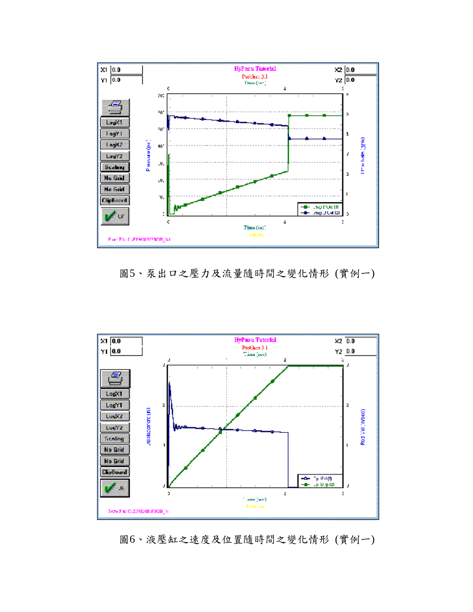

圖5、泵出口之壓力及流量隨時間之變化情形 (實例一)



圖6、液壓缸之速度及位置隨時間之變化情形 (實例一)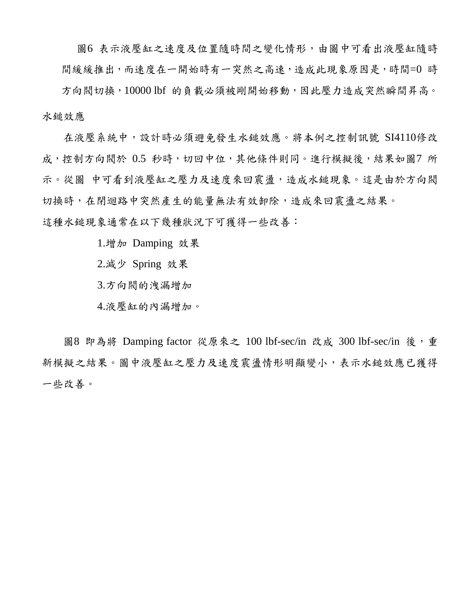圖6 表示液壓缸之速度及位置隨時間之變化情形,由圖中可看出液壓缸隨時 間緩緩推出,而速度在一開始時有一突然之高速,造成此現象原因是,時間=0 時

方向閥切換,10000 lbf 的負載必須被剛開始移動,因此壓力造成突然瞬間昇高。 水鎚效應

在液壓系統中,設計時必須避免發生水鎚效應。將本例之控制訊號 SI4110修改 成,控制方向閥於 0.5 秒時,切回中位,其他條件則同。進行模擬後,結果如圖7 所 示。從圖 中可看到液壓缸之壓力及速度來回震盪,造成水鎚現象。這是由於方向閥 切換時,在閉迴路中突然產生的能量無法有效卸除,造成來回震盪之結果。

這種水鎚現象通常在以下幾種狀況下可獲得一些改善:

1.增加 Damping 效果

2.減少 Spring 效果

3.方向閥的洩漏增加

4.液壓缸的內漏增加。

圖8 即為將 Damping factor 從原來之 100 lbf-sec/in 改成 300 lbf-sec/in 後,重 新模擬之結果。圖中液壓缸之壓力及速度震盪情形明顯變小,表示水鎚效應已獲得 一些改善。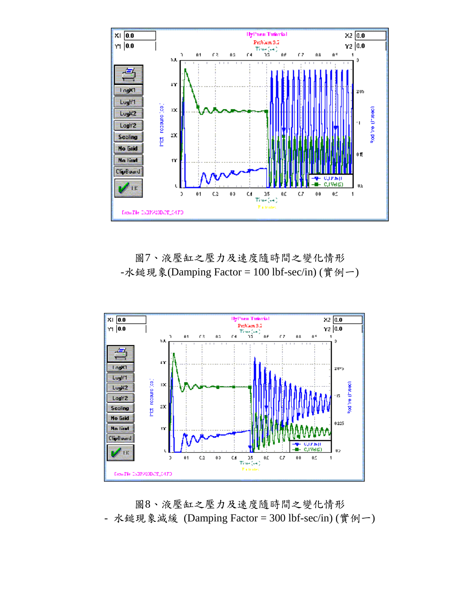

圖7、液壓缸之壓力及速度隨時間之變化情形 -水鎚現象(Damping Factor = 100 lbf-sec/in) (實例一)



圖8、液壓缸之壓力及速度隨時間之變化情形 - 水鎚現象減緩 (Damping Factor = 300 lbf-sec/in) (實例一)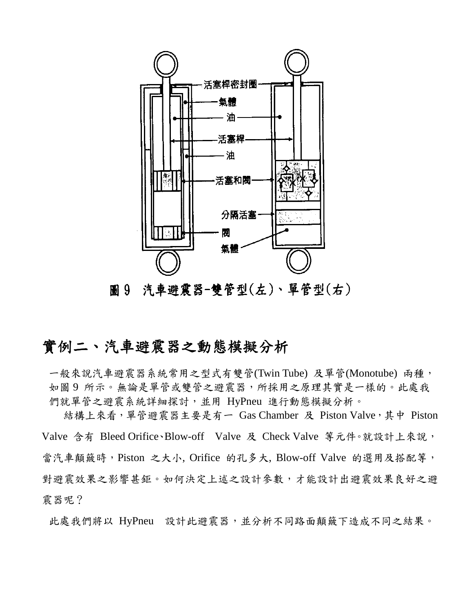

圖 9 汽車避震器-雙管型(左)、單管型(右)

# 實例二、汽車避震器之動態模擬分析

一般來說汽車避震器系統常用之型式有雙管(Twin Tube) 及單管(Monotube) 兩種, 如圖 9 所示。無論是單管或雙管之避震器,所採用之原理其實是一樣的。此處我 們就單管之避震系統詳細探討,並用 HyPneu 進行動態模擬分析。

結構上來看,單管避震器主要是有一 Gas Chamber 及 Piston Valve,其中 Piston Valve 含有 Bleed Orifice、Blow-off Valve 及 Check Valve 等元件。就設計上來說, 當汽車顛簸時,Piston 之大小, Orifice 的孔多大, Blow-off Valve 的選用及搭配等, 對避震效果之影響甚鉅。如何決定上述之設計參數,才能設計出避震效果良好之避 震器呢?

此處我們將以 HyPneu 設計此避震器,並分析不同路面顛簸下造成不同之結果。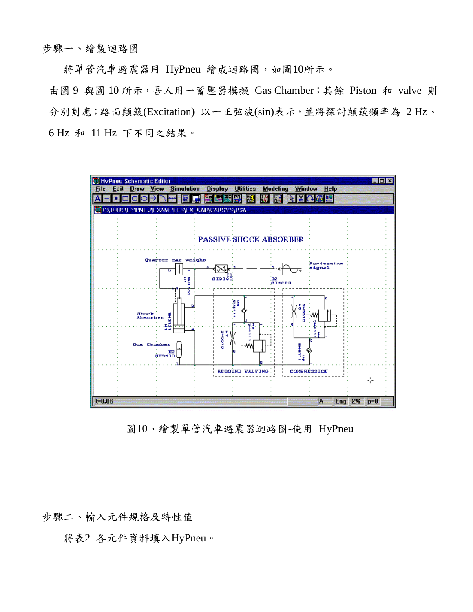將單管汽車避震器用 HyPneu 繪成迴路圖,如圖10所示。

由圖 9 與圖 10 所示,吾人用一蓄壓器模擬 Gas Chamber;其餘 Piston 和 valve 則 分別對應;路面顛簸(Excitation) 以一正弦波(sin)表示,並將探討顛簸頻率為 2 Hz、 6 Hz 和 11 Hz 下不同之結果。



圖10、繪製單管汽車避震器迴路圖-使用 HyPneu

步驟二、輸入元件規格及特性值

將表2 各元件資料填入HyPneu。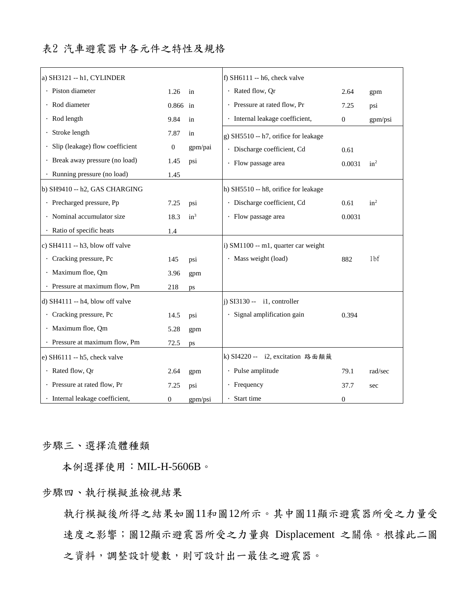| a) SH3121 -- h1, CYLINDER         |                  |         | f) SH $6111 - h6$ , check valve      |                  |                 |
|-----------------------------------|------------------|---------|--------------------------------------|------------------|-----------------|
| · Piston diameter                 | 1.26             | in      | · Rated flow, Qr                     | 2.64             | gpm             |
| · Rod diameter                    | 0.866            | in      | · Pressure at rated flow, Pr         | 7.25             | psi             |
| · Rod length                      | 9.84             | in      | · Internal leakage coefficient,      | $\mathbf{0}$     | gpm/psi         |
| Stroke length                     | 7.87             | in      | g) SH5510 -- h7, orifice for leakage |                  |                 |
| Slip (leakage) flow coefficient   | $\mathbf{0}$     | gpm/pai | · Discharge coefficient, Cd          | 0.61             |                 |
| · Break away pressure (no load)   | 1.45             | psi     | · Flow passage area                  | 0.0031           | $in^2$          |
| · Running pressure (no load)      | 1.45             |         |                                      |                  |                 |
| b) SH9410 -- h2, GAS CHARGING     |                  |         | h) SH5510 -- h8, orifice for leakage |                  |                 |
| · Precharged pressure, Pp         | 7.25             | psi     | · Discharge coefficient, Cd          | 0.61             | $in^2$          |
| · Nominal accumulator size        | 18.3             | $in^3$  | · Flow passage area                  | 0.0031           |                 |
| · Ratio of specific heats         | 1.4              |         |                                      |                  |                 |
| c) $SH4111 - h3$ , blow off valve |                  |         | i) SM1100 -- m1, quarter car weight  |                  |                 |
| · Cracking pressure, Pc           | 145              | psi     | · Mass weight (load)                 | 882              | 1 <sub>bf</sub> |
| · Maximum floe, Qm                | 3.96             | gpm     |                                      |                  |                 |
| · Pressure at maximum flow, Pm    | 218              | ps      |                                      |                  |                 |
| d) $SH4111 - h4$ , blow off valve |                  |         | $i)$ SI3130 -- $i$ 1, controller     |                  |                 |
| · Cracking pressure, Pc           | 14.5             | psi     | · Signal amplification gain          | 0.394            |                 |
| · Maximum floe, Qm                | 5.28             | gpm     |                                      |                  |                 |
| · Pressure at maximum flow, Pm    | 72.5             | ps      |                                      |                  |                 |
| e) $SH6111 - h5$ , check valve    |                  |         | k) SI4220 -- i2, excitation 路面顛簸     |                  |                 |
| · Rated flow, Qr                  | 2.64             | gpm     | · Pulse amplitude                    | 79.1             | rad/sec         |
| · Pressure at rated flow, Pr      | 7.25             | psi     | $\cdot$ Frequency                    | 37.7             | sec             |
| · Internal leakage coefficient,   | $\boldsymbol{0}$ | gpm/psi | · Start time                         | $\boldsymbol{0}$ |                 |

步驟三、選擇流體種類

本例選擇使用:MIL-H-5606B。

步驟四、執行模擬並檢視結果

執行模擬後所得之結果如圖11和圖12所示。其中圖11顯示避震器所受之力量受 速度之影響;圖12顯示避震器所受之力量與 Displacement 之關係。根據此二圖 之資料,調整設計變數,則可設計出一最佳之避震器。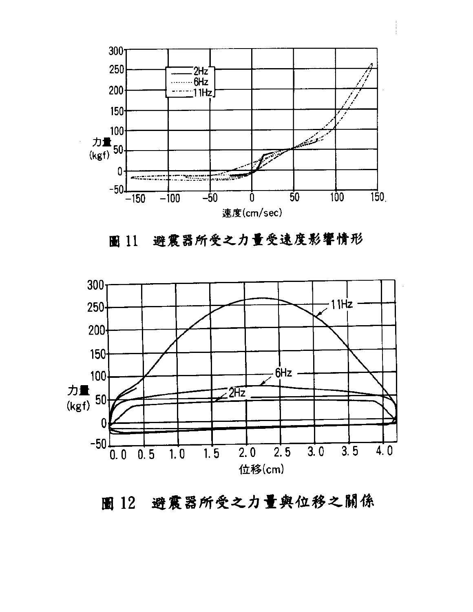

#### 避震器所受之力量受速度影響情形 圖 11



# 圖 12 避震器所受之力量與位移之關係